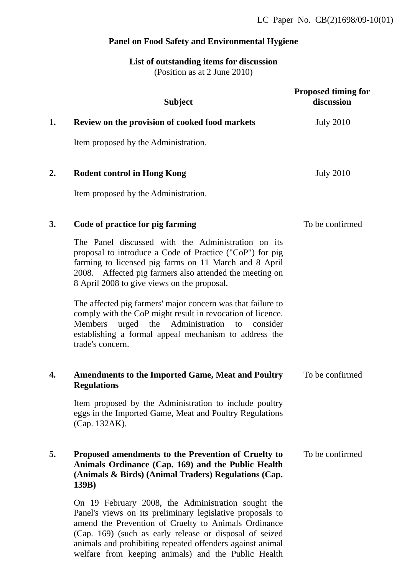# **Panel on Food Safety and Environmental Hygiene**

# **List of outstanding items for discussion** (Position as at 2 June 2010)

|    | <b>Subject</b>                                                                                                                                                                                                                                                                    | <b>Proposed timing for</b><br>discussion |
|----|-----------------------------------------------------------------------------------------------------------------------------------------------------------------------------------------------------------------------------------------------------------------------------------|------------------------------------------|
| 1. | Review on the provision of cooked food markets                                                                                                                                                                                                                                    | <b>July 2010</b>                         |
|    | Item proposed by the Administration.                                                                                                                                                                                                                                              |                                          |
| 2. | <b>Rodent control in Hong Kong</b>                                                                                                                                                                                                                                                | <b>July 2010</b>                         |
|    | Item proposed by the Administration.                                                                                                                                                                                                                                              |                                          |
| 3. | Code of practice for pig farming                                                                                                                                                                                                                                                  | To be confirmed                          |
|    | The Panel discussed with the Administration on its<br>proposal to introduce a Code of Practice ("CoP") for pig<br>farming to licensed pig farms on 11 March and 8 April<br>2008. Affected pig farmers also attended the meeting on<br>8 April 2008 to give views on the proposal. |                                          |
|    | The affected pig farmers' major concern was that failure to<br>comply with the CoP might result in revocation of licence.<br>Administration<br><b>Members</b><br>urged<br>the<br>to<br>consider<br>establishing a formal appeal mechanism to address the<br>trade's concern.      |                                          |
| 4. | <b>Amendments to the Imported Game, Meat and Poultry</b><br><b>Regulations</b>                                                                                                                                                                                                    | To be confirmed                          |
|    | Item proposed by the Administration to include poultry<br>eggs in the Imported Game, Meat and Poultry Regulations<br>(Cap. 132AK).                                                                                                                                                |                                          |
| 5. | Proposed amendments to the Prevention of Cruelty to<br>Animals Ordinance (Cap. 169) and the Public Health<br>(Animals & Birds) (Animal Traders) Regulations (Cap.<br>139B)                                                                                                        | To be confirmed                          |
|    | On 19 February 2008, the Administration sought the<br>Panel's views on its preliminary legislative proposals to<br>amend the Prevention of Cruelty to Animals Ordinance<br>$(C_{2R} - 160)$ (such as early release or disposed of soired                                          |                                          |

(Cap. 169) (such as early release or disposal of seized animals and prohibiting repeated offenders against animal welfare from keeping animals) and the Public Health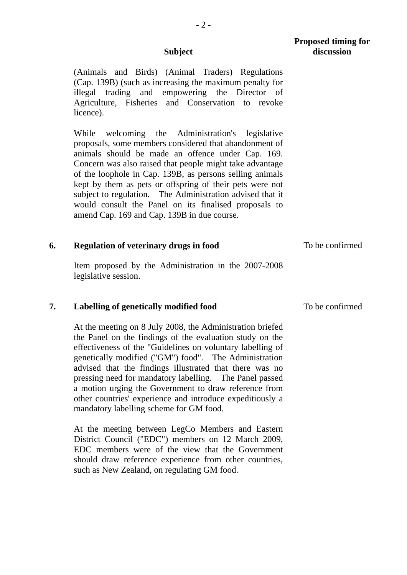(Animals and Birds) (Animal Traders) Regulations (Cap. 139B) (such as increasing the maximum penalty for illegal trading and empowering the Director of Agriculture, Fisheries and Conservation to revoke licence).

While welcoming the Administration's legislative proposals, some members considered that abandonment of animals should be made an offence under Cap. 169. Concern was also raised that people might take advantage of the loophole in Cap. 139B, as persons selling animals kept by them as pets or offspring of their pets were not subject to regulation. The Administration advised that it would consult the Panel on its finalised proposals to amend Cap. 169 and Cap. 139B in due course.

### **6. Regulation of veterinary drugs in food**  To be confirmed

Item proposed by the Administration in the 2007-2008 legislative session.

# **7. Labelling of genetically modified food**

At the meeting on 8 July 2008, the Administration briefed the Panel on the findings of the evaluation study on the effectiveness of the "Guidelines on voluntary labelling of genetically modified ("GM") food". The Administration advised that the findings illustrated that there was no pressing need for mandatory labelling. The Panel passed a motion urging the Government to draw reference from other countries' experience and introduce expeditiously a mandatory labelling scheme for GM food.

At the meeting between LegCo Members and Eastern District Council ("EDC") members on 12 March 2009, EDC members were of the view that the Government should draw reference experience from other countries, such as New Zealand, on regulating GM food.

**Proposed timing for discussion**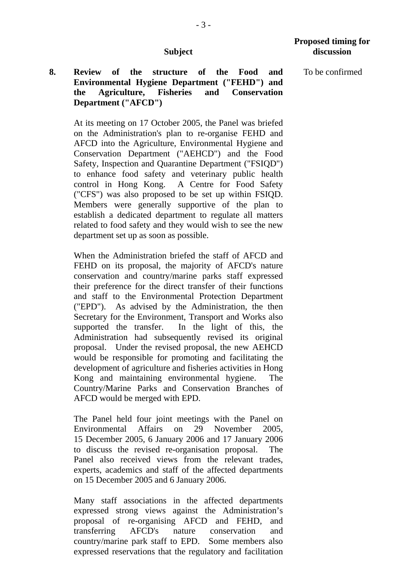# **8. Review of the structure of the Food and Environmental Hygiene Department ("FEHD") and the Agriculture, Fisheries and Conservation Department ("AFCD")**

At its meeting on 17 October 2005, the Panel was briefed on the Administration's plan to re-organise FEHD and AFCD into the Agriculture, Environmental Hygiene and Conservation Department ("AEHCD") and the Food Safety, Inspection and Quarantine Department ("FSIQD") to enhance food safety and veterinary public health control in Hong Kong. A Centre for Food Safety ("CFS") was also proposed to be set up within FSIQD. Members were generally supportive of the plan to establish a dedicated department to regulate all matters related to food safety and they would wish to see the new department set up as soon as possible.

When the Administration briefed the staff of AFCD and FEHD on its proposal, the majority of AFCD's nature conservation and country/marine parks staff expressed their preference for the direct transfer of their functions and staff to the Environmental Protection Department ("EPD"). As advised by the Administration, the then Secretary for the Environment, Transport and Works also supported the transfer. In the light of this, the Administration had subsequently revised its original proposal. Under the revised proposal, the new AEHCD would be responsible for promoting and facilitating the development of agriculture and fisheries activities in Hong Kong and maintaining environmental hygiene. The Country/Marine Parks and Conservation Branches of AFCD would be merged with EPD.

The Panel held four joint meetings with the Panel on Environmental Affairs on 29 November 2005, 15 December 2005, 6 January 2006 and 17 January 2006 to discuss the revised re-organisation proposal. The Panel also received views from the relevant trades, experts, academics and staff of the affected departments on 15 December 2005 and 6 January 2006.

Many staff associations in the affected departments expressed strong views against the Administration's proposal of re-organising AFCD and FEHD, and transferring AFCD's nature conservation and country/marine park staff to EPD. Some members also expressed reservations that the regulatory and facilitation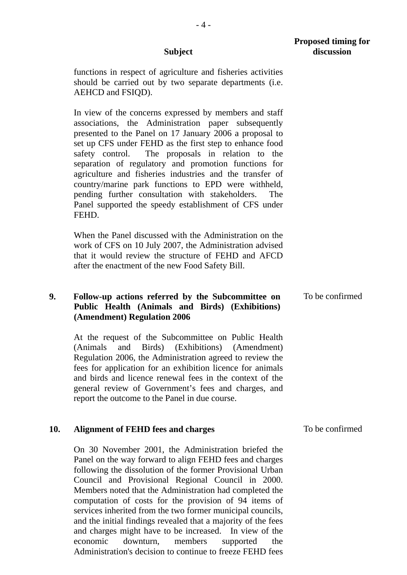$-4-$ 

functions in respect of agriculture and fisheries activities should be carried out by two separate departments (i.e. AEHCD and FSIQD).

In view of the concerns expressed by members and staff associations, the Administration paper subsequently presented to the Panel on 17 January 2006 a proposal to set up CFS under FEHD as the first step to enhance food safety control. The proposals in relation to the separation of regulatory and promotion functions for agriculture and fisheries industries and the transfer of country/marine park functions to EPD were withheld, pending further consultation with stakeholders. The Panel supported the speedy establishment of CFS under **FEHD.** 

When the Panel discussed with the Administration on the work of CFS on 10 July 2007, the Administration advised that it would review the structure of FEHD and AFCD after the enactment of the new Food Safety Bill.

### **9. Follow-up actions referred by the Subcommittee on Public Health (Animals and Birds) (Exhibitions) (Amendment) Regulation 2006**  To be confirmed

At the request of the Subcommittee on Public Health (Animals and Birds) (Exhibitions) (Amendment) Regulation 2006, the Administration agreed to review the fees for application for an exhibition licence for animals and birds and licence renewal fees in the context of the general review of Government's fees and charges, and report the outcome to the Panel in due course.

#### **10. Alignment of FEHD fees and charges**  To be confirmed

On 30 November 2001, the Administration briefed the Panel on the way forward to align FEHD fees and charges following the dissolution of the former Provisional Urban Council and Provisional Regional Council in 2000. Members noted that the Administration had completed the computation of costs for the provision of 94 items of services inherited from the two former municipal councils, and the initial findings revealed that a majority of the fees and charges might have to be increased. In view of the economic downturn, members supported the Administration's decision to continue to freeze FEHD fees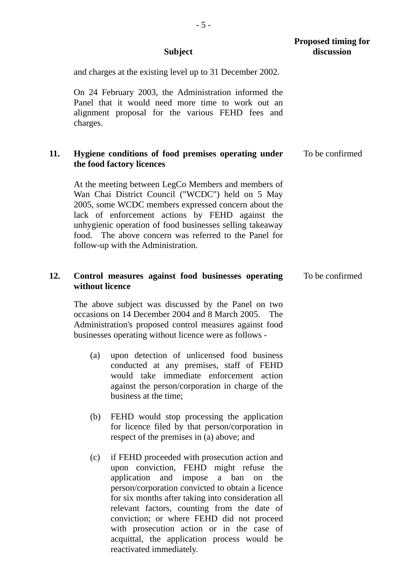|     | <b>Subject</b>                                                                                                                                                                                                                                                                                                                                                               | <b>Proposed timing for</b><br>discussion |
|-----|------------------------------------------------------------------------------------------------------------------------------------------------------------------------------------------------------------------------------------------------------------------------------------------------------------------------------------------------------------------------------|------------------------------------------|
|     | and charges at the existing level up to 31 December 2002.                                                                                                                                                                                                                                                                                                                    |                                          |
|     | On 24 February 2003, the Administration informed the<br>Panel that it would need more time to work out an<br>alignment proposal for the various FEHD fees and<br>charges.                                                                                                                                                                                                    |                                          |
| 11. | Hygiene conditions of food premises operating under<br>the food factory licences                                                                                                                                                                                                                                                                                             | To be confirmed                          |
|     | At the meeting between LegCo Members and members of<br>Wan Chai District Council ("WCDC") held on 5 May<br>2005, some WCDC members expressed concern about the<br>lack of enforcement actions by FEHD against the<br>unhygienic operation of food businesses selling takeaway<br>food. The above concern was referred to the Panel for<br>follow-up with the Administration. |                                          |
| 12. | Control measures against food businesses operating<br>without licence                                                                                                                                                                                                                                                                                                        | To be confirmed                          |
|     | The above subject was discussed by the Panel on two<br>occasions on 14 December 2004 and 8 March 2005.<br>The<br>Administration's proposed control measures against food<br>businesses operating without licence were as follows -                                                                                                                                           |                                          |

- (a) upon detection of unlicensed food business conducted at any premises, staff of FEHD would take immediate enforcement action against the person/corporation in charge of the business at the time;
- (b) FEHD would stop processing the application for licence filed by that person/corporation in respect of the premises in (a) above; and
- (c) if FEHD proceeded with prosecution action and upon conviction, FEHD might refuse the application and impose a ban on the person/corporation convicted to obtain a licence for six months after taking into consideration all relevant factors, counting from the date of conviction; or where FEHD did not proceed with prosecution action or in the case of acquittal, the application process would be reactivated immediately.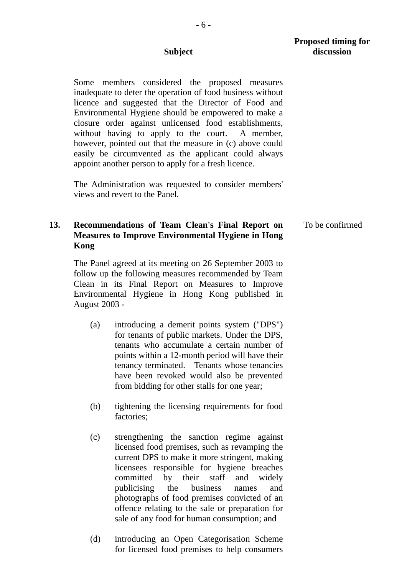Some members considered the proposed measures inadequate to deter the operation of food business without licence and suggested that the Director of Food and Environmental Hygiene should be empowered to make a closure order against unlicensed food establishments, without having to apply to the court. A member, however, pointed out that the measure in (c) above could easily be circumvented as the applicant could always appoint another person to apply for a fresh licence.

 The Administration was requested to consider members' views and revert to the Panel.

# **13. Recommendations of Team Clean's Final Report on Measures to Improve Environmental Hygiene in Hong Kong**

 The Panel agreed at its meeting on 26 September 2003 to follow up the following measures recommended by Team Clean in its Final Report on Measures to Improve Environmental Hygiene in Hong Kong published in August 2003 -

- (a) introducing a demerit points system ("DPS") for tenants of public markets. Under the DPS, tenants who accumulate a certain number of points within a 12-month period will have their tenancy terminated. Tenants whose tenancies have been revoked would also be prevented from bidding for other stalls for one year;
- (b) tightening the licensing requirements for food factories;
- (c) strengthening the sanction regime against licensed food premises, such as revamping the current DPS to make it more stringent, making licensees responsible for hygiene breaches committed by their staff and widely publicising the business names and photographs of food premises convicted of an offence relating to the sale or preparation for sale of any food for human consumption; and
- (d) introducing an Open Categorisation Scheme for licensed food premises to help consumers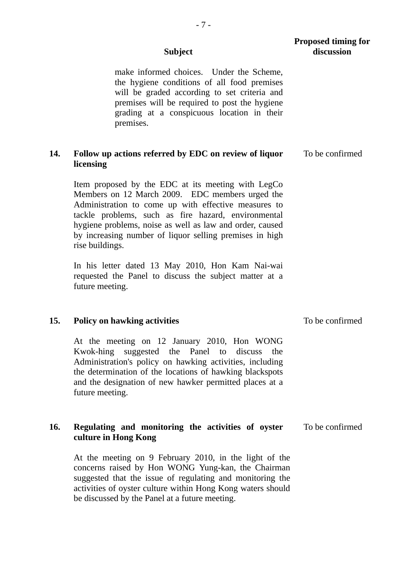|     | <b>Subject</b>                                                                                                                                                                                                                                                                                                                                                 | <b>Proposed timing for</b><br>discussion |
|-----|----------------------------------------------------------------------------------------------------------------------------------------------------------------------------------------------------------------------------------------------------------------------------------------------------------------------------------------------------------------|------------------------------------------|
|     | make informed choices. Under the Scheme,<br>the hygiene conditions of all food premises<br>will be graded according to set criteria and<br>premises will be required to post the hygiene<br>grading at a conspicuous location in their<br>premises.                                                                                                            |                                          |
| 14. | Follow up actions referred by EDC on review of liquor<br>licensing                                                                                                                                                                                                                                                                                             | To be confirmed                          |
|     | Item proposed by the EDC at its meeting with LegCo<br>Members on 12 March 2009. EDC members urged the<br>Administration to come up with effective measures to<br>tackle problems, such as fire hazard, environmental<br>hygiene problems, noise as well as law and order, caused<br>by increasing number of liquor selling premises in high<br>rise buildings. |                                          |
|     | In his letter dated 13 May 2010, Hon Kam Nai-wai<br>requested the Panel to discuss the subject matter at a<br>future meeting.                                                                                                                                                                                                                                  |                                          |
| 15. | <b>Policy on hawking activities</b>                                                                                                                                                                                                                                                                                                                            | To be confirmed                          |
|     | At the meeting on 12 January 2010, Hon WONG<br>Kwok-hing suggested the Panel to discuss the<br>Administration's policy on hawking activities, including<br>the determination of the locations of hawking blackspots<br>and the designation of new hawker permitted places at a<br>future meeting.                                                              |                                          |
| 16. | Regulating and monitoring the activities of oyster<br>culture in Hong Kong                                                                                                                                                                                                                                                                                     | To be confirmed                          |
|     | At the meeting on 9 February 2010, in the light of the<br>concerns raised by Hon WONG Yung-kan, the Chairman<br>suggested that the issue of regulating and monitoring the<br>activities of oyster culture within Hong Kong waters should                                                                                                                       |                                          |

be discussed by the Panel at a future meeting.

- 7 -